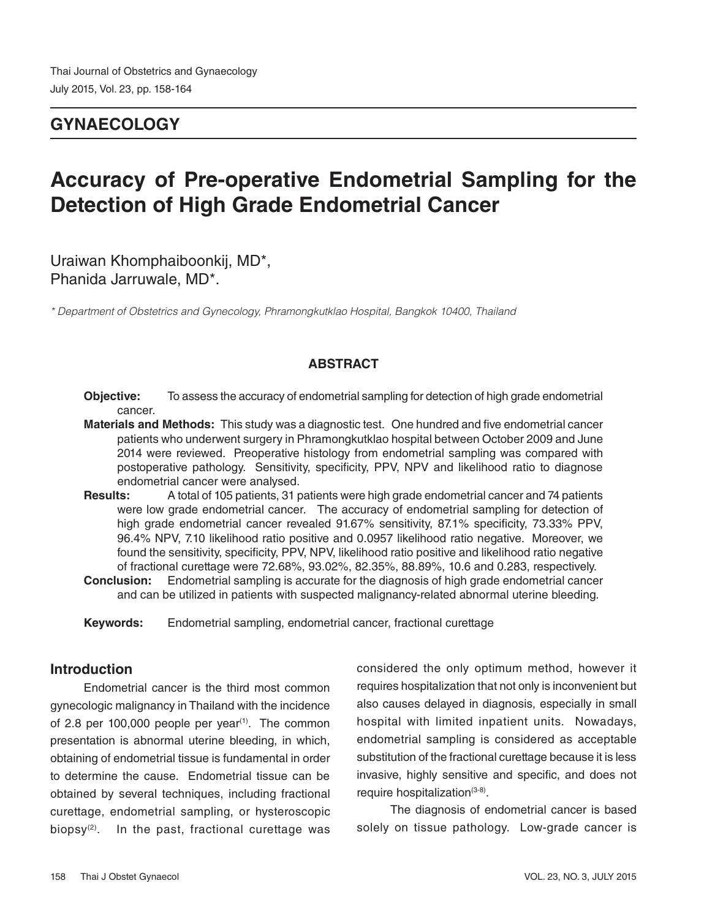# **GYNAECOLOGY**

# **Accuracy of Pre-operative Endometrial Sampling for the Detection of High Grade Endometrial Cancer**

Uraiwan Khomphaiboonkij, MD\*, Phanida Jarruwale, MD\*.

*\* Department of Obstetrics and Gynecology, Phramongkutklao Hospital, Bangkok 10400, Thailand*

# **ABSTRACT**

- **Objective:** To assess the accuracy of endometrial sampling for detection of high grade endometrial cancer.
- **Materials and Methods:** This study was a diagnostic test. One hundred and five endometrial cancer patients who underwent surgery in Phramongkutklao hospital between October 2009 and June 2014 were reviewed. Preoperative histology from endometrial sampling was compared with postoperative pathology. Sensitivity, specificity, PPV, NPV and likelihood ratio to diagnose endometrial cancer were analysed.
- **Results:** A total of 105 patients, 31 patients were high grade endometrial cancer and 74 patients were low grade endometrial cancer. The accuracy of endometrial sampling for detection of high grade endometrial cancer revealed 91.67% sensitivity, 87.1% specificity, 73.33% PPV, 96.4% NPV, 7.10 likelihood ratio positive and 0.0957 likelihood ratio negative. Moreover, we found the sensitivity, specificity, PPV, NPV, likelihood ratio positive and likelihood ratio negative of fractional curettage were 72.68%, 93.02%, 82.35%, 88.89%, 10.6 and 0.283, respectively.
- **Conclusion:** Endometrial sampling is accurate for the diagnosis of high grade endometrial cancer and can be utilized in patients with suspected malignancy-related abnormal uterine bleeding.

**Keywords:** Endometrial sampling, endometrial cancer, fractional curettage

# **Introduction**

Endometrial cancer is the third most common gynecologic malignancy in Thailand with the incidence of 2.8 per 100,000 people per year<sup> $(1)$ </sup>. The common presentation is abnormal uterine bleeding, in which, obtaining of endometrial tissue is fundamental in order to determine the cause. Endometrial tissue can be obtained by several techniques, including fractional curettage, endometrial sampling, or hysteroscopic biopsy $(2)$ . In the past, fractional curettage was considered the only optimum method, however it requires hospitalization that not only is inconvenient but also causes delayed in diagnosis, especially in small hospital with limited inpatient units. Nowadays, endometrial sampling is considered as acceptable substitution of the fractional curettage because it is less invasive, highly sensitive and specific, and does not require hospitalization<sup>(3-8)</sup>.

The diagnosis of endometrial cancer is based solely on tissue pathology. Low-grade cancer is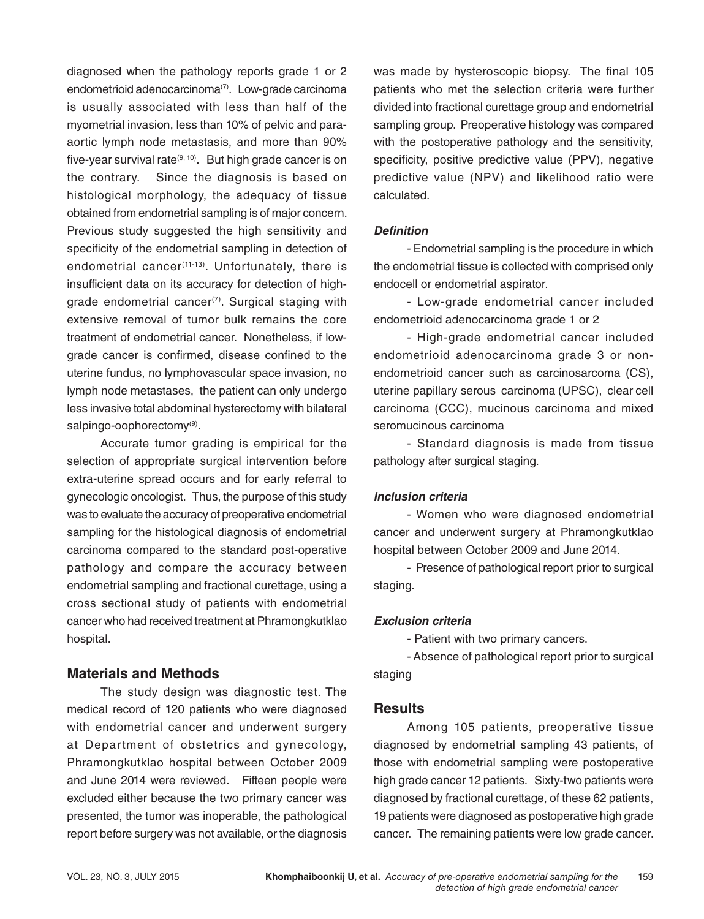diagnosed when the pathology reports grade 1 or 2 endometrioid adenocarcinoma<sup>(7)</sup>. Low-grade carcinoma is usually associated with less than half of the myometrial invasion, less than 10% of pelvic and paraaortic lymph node metastasis, and more than 90% five-year survival rate $(9, 10)$ . But high grade cancer is on the contrary. Since the diagnosis is based on histological morphology, the adequacy of tissue obtained from endometrial sampling is of major concern. Previous study suggested the high sensitivity and specificity of the endometrial sampling in detection of endometrial cancer<sup>(11-13)</sup>. Unfortunately, there is insufficient data on its accuracy for detection of highgrade endometrial cancer<sup> $(7)$ </sup>. Surgical staging with extensive removal of tumor bulk remains the core treatment of endometrial cancer. Nonetheless, if lowgrade cancer is confirmed, disease confined to the uterine fundus, no lymphovascular space invasion, no lymph node metastases, the patient can only undergo less invasive total abdominal hysterectomy with bilateral salpingo-oophorectomy<sup>(9)</sup>.

Accurate tumor grading is empirical for the selection of appropriate surgical intervention before extra-uterine spread occurs and for early referral to gynecologic oncologist. Thus, the purpose of this study was to evaluate the accuracy of preoperative endometrial sampling for the histological diagnosis of endometrial carcinoma compared to the standard post-operative pathology and compare the accuracy between endometrial sampling and fractional curettage, using a cross sectional study of patients with endometrial cancer who had received treatment at Phramongkutklao hospital.

# **Materials and Methods**

The study design was diagnostic test. The medical record of 120 patients who were diagnosed with endometrial cancer and underwent surgery at Department of obstetrics and gynecology, Phramongkutklao hospital between October 2009 and June 2014 were reviewed. Fifteen people were excluded either because the two primary cancer was presented, the tumor was inoperable, the pathological report before surgery was not available, or the diagnosis

was made by hysteroscopic biopsy. The final 105 patients who met the selection criteria were further divided into fractional curettage group and endometrial sampling group. Preoperative histology was compared with the postoperative pathology and the sensitivity, specificity, positive predictive value (PPV), negative predictive value (NPV) and likelihood ratio were calculated.

### **Definition**

- Endometrial sampling is the procedure in which the endometrial tissue is collected with comprised only endocell or endometrial aspirator.

- Low-grade endometrial cancer included endometrioid adenocarcinoma grade 1 or 2

- High-grade endometrial cancer included endometrioid adenocarcinoma grade 3 or nonendometrioid cancer such as carcinosarcoma (CS), uterine papillary serous carcinoma (UPSC), clear cell carcinoma (CCC), mucinous carcinoma and mixed seromucinous carcinoma

- Standard diagnosis is made from tissue pathology after surgical staging.

# **Inclusion criteria**

- Women who were diagnosed endometrial cancer and underwent surgery at Phramongkutklao hospital between October 2009 and June 2014.

- Presence of pathological report prior to surgical staging.

# **Exclusion criteria**

- Patient with two primary cancers.

- Absence of pathological report prior to surgical staging

# **Results**

Among 105 patients, preoperative tissue diagnosed by endometrial sampling 43 patients, of those with endometrial sampling were postoperative high grade cancer 12 patients. Sixty-two patients were diagnosed by fractional curettage, of these 62 patients, 19 patients were diagnosed as postoperative high grade cancer. The remaining patients were low grade cancer.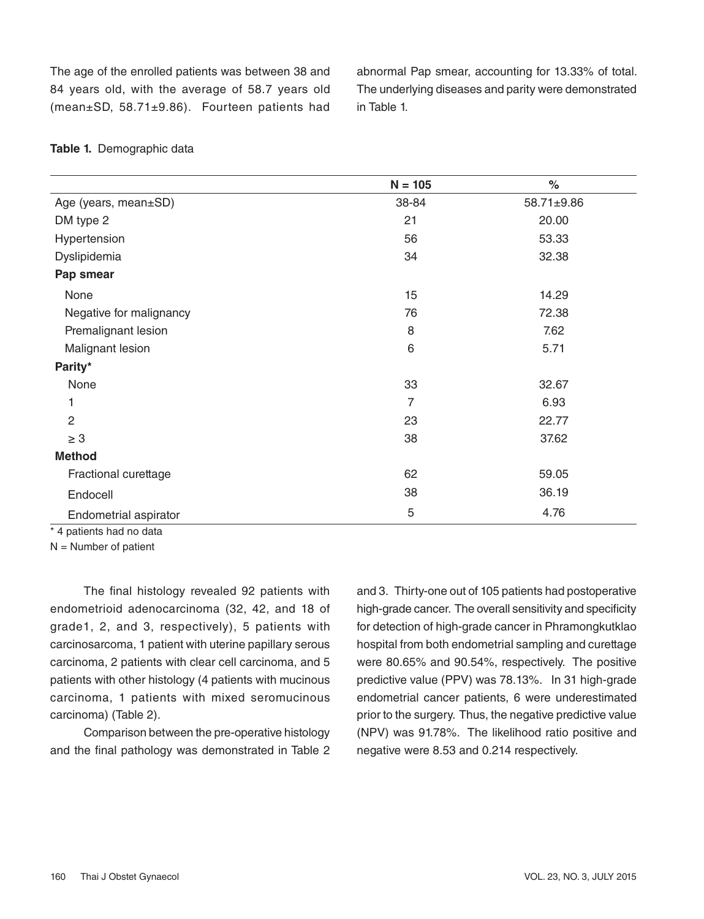The age of the enrolled patients was between 38 and 84 years old, with the average of 58.7 years old (mean±SD, 58.71±9.86). Fourteen patients had abnormal Pap smear, accounting for 13.33% of total. The underlying diseases and parity were demonstrated in Table 1.

|                         | $N = 105$      | $\%$       |
|-------------------------|----------------|------------|
| Age (years, mean±SD)    | 38-84          | 58.71±9.86 |
| DM type 2               | 21             | 20.00      |
| Hypertension            | 56             | 53.33      |
| Dyslipidemia            | 34             | 32.38      |
| Pap smear               |                |            |
| None                    | 15             | 14.29      |
| Negative for malignancy | 76             | 72.38      |
| Premalignant lesion     | 8              | 7.62       |
| Malignant lesion        | 6              | 5.71       |
| Parity*                 |                |            |
| None                    | 33             | 32.67      |
| 1                       | $\overline{7}$ | 6.93       |
| $\overline{2}$          | 23             | 22.77      |
| $\geq 3$                | 38             | 37.62      |
| <b>Method</b>           |                |            |
| Fractional curettage    | 62             | 59.05      |
| Endocell                | 38             | 36.19      |
| Endometrial aspirator   | 5              | 4.76       |

#### **Table 1.** Demographic data

\* 4 patients had no data

N = Number of patient

The final histology revealed 92 patients with endometrioid adenocarcinoma (32, 42, and 18 of grade1, 2, and 3, respectively), 5 patients with carcinosarcoma, 1 patient with uterine papillary serous carcinoma, 2 patients with clear cell carcinoma, and 5 patients with other histology (4 patients with mucinous carcinoma, 1 patients with mixed seromucinous carcinoma) (Table 2).

Comparison between the pre-operative histology and the final pathology was demonstrated in Table 2 and 3. Thirty-one out of 105 patients had postoperative high-grade cancer. The overall sensitivity and specificity for detection of high-grade cancer in Phramongkutklao hospital from both endometrial sampling and curettage were 80.65% and 90.54%, respectively. The positive predictive value (PPV) was 78.13%. In 31 high-grade endometrial cancer patients, 6 were underestimated prior to the surgery. Thus, the negative predictive value (NPV) was 91.78%. The likelihood ratio positive and negative were 8.53 and 0.214 respectively.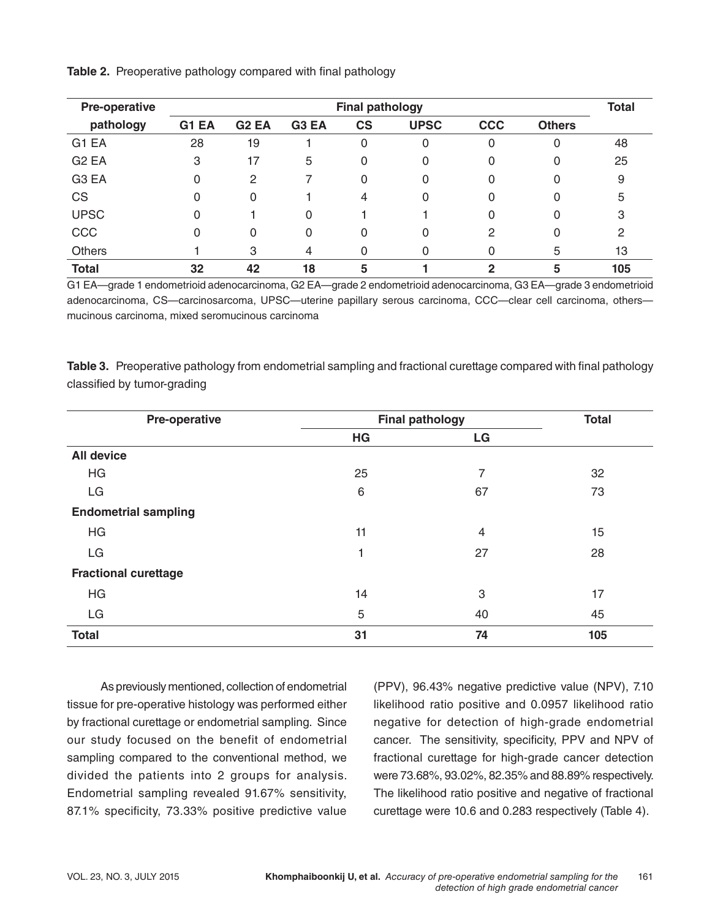| Pre-operative     |       | <b>Final pathology</b> |                   |           |             |              | <b>Total</b>  |     |
|-------------------|-------|------------------------|-------------------|-----------|-------------|--------------|---------------|-----|
| pathology         | G1 EA | G <sub>2</sub> EA      | G <sub>3</sub> EA | <b>CS</b> | <b>UPSC</b> | <b>CCC</b>   | <b>Others</b> |     |
| G <sub>1</sub> EA | 28    | 19                     |                   | $\Omega$  | 0           | 0            | 0             | 48  |
| G <sub>2</sub> EA | 3     | 17                     | 5                 | 0         | 0           | 0            | 0             | 25  |
| G <sub>3</sub> EA | 0     | 2                      |                   | 0         | 0           | 0            | 0             | 9   |
| CS                | 0     | 0                      |                   | 4         | 0           | 0            |               | 5   |
| <b>UPSC</b>       | 0     |                        | $\Omega$          |           |             | 0            |               | 3   |
| CCC               | 0     | 0                      | $\Omega$          | 0         | 0           | 2            |               | 2   |
| Others            |       | 3                      | 4                 |           | 0           | 0            | 5             | 13  |
| <b>Total</b>      | 32    | 42                     | 18                | 5         |             | $\mathbf{2}$ | 5             | 105 |

G1 EA—grade 1 endometrioid adenocarcinoma, G2 EA—grade 2 endometrioid adenocarcinoma, G3 EA—grade 3 endometrioid adenocarcinoma, CS—carcinosarcoma, UPSC—uterine papillary serous carcinoma, CCC—clear cell carcinoma, others mucinous carcinoma, mixed seromucinous carcinoma

**Table 3.** Preoperative pathology from endometrial sampling and fractional curettage compared with final pathology classified by tumor-grading

| Pre-operative               | <b>Final pathology</b> | <b>Total</b>   |     |
|-----------------------------|------------------------|----------------|-----|
|                             | HG                     | LG             |     |
| <b>All device</b>           |                        |                |     |
| HG                          | 25                     | 7              | 32  |
| LG                          | $\,6$                  | 67             | 73  |
| <b>Endometrial sampling</b> |                        |                |     |
| HG                          | 11                     | $\overline{4}$ | 15  |
| LG                          |                        | 27             | 28  |
| <b>Fractional curettage</b> |                        |                |     |
| HG                          | 14                     | 3              | 17  |
| LG                          | 5                      | 40             | 45  |
| <b>Total</b>                | 31                     | 74             | 105 |

As previously mentioned, collection of endometrial tissue for pre-operative histology was performed either by fractional curettage or endometrial sampling. Since our study focused on the benefit of endometrial sampling compared to the conventional method, we divided the patients into 2 groups for analysis. Endometrial sampling revealed 91.67% sensitivity, 87.1% specificity, 73.33% positive predictive value

(PPV), 96.43% negative predictive value (NPV), 7.10 likelihood ratio positive and 0.0957 likelihood ratio negative for detection of high-grade endometrial cancer. The sensitivity, specificity, PPV and NPV of fractional curettage for high-grade cancer detection were 73.68%, 93.02%, 82.35% and 88.89% respectively. The likelihood ratio positive and negative of fractional curettage were 10.6 and 0.283 respectively (Table 4).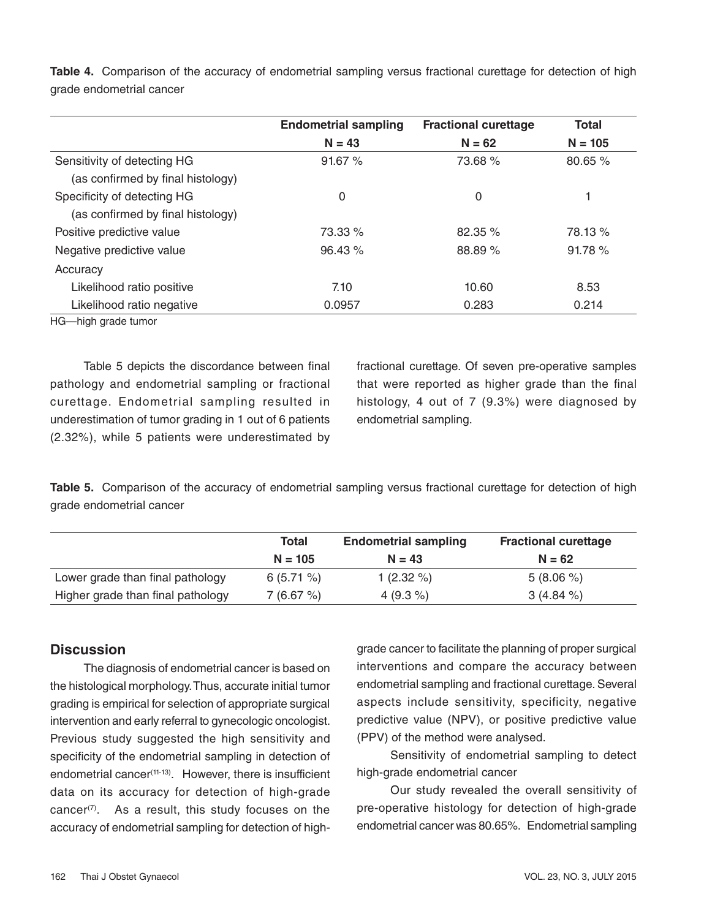|                                   | <b>Endometrial sampling</b> | <b>Fractional curettage</b> | Total     |  |
|-----------------------------------|-----------------------------|-----------------------------|-----------|--|
|                                   | $N = 43$                    | $N = 62$                    | $N = 105$ |  |
| Sensitivity of detecting HG       | 91.67%                      | 73.68 %                     | 80.65%    |  |
| (as confirmed by final histology) |                             |                             |           |  |
| Specificity of detecting HG       | $\Omega$                    | 0                           |           |  |
| (as confirmed by final histology) |                             |                             |           |  |
| Positive predictive value         | 73.33 %                     | 82.35 %                     | 78.13 %   |  |
| Negative predictive value         | 96.43%                      | 88.89 %                     | 91.78%    |  |
| Accuracy                          |                             |                             |           |  |
| Likelihood ratio positive         | 7.10                        | 10.60                       | 8.53      |  |
| Likelihood ratio negative         | 0.0957                      | 0.283                       | 0.214     |  |

**Table 4.** Comparison of the accuracy of endometrial sampling versus fractional curettage for detection of high grade endometrial cancer

HG—high grade tumor

Table 5 depicts the discordance between final pathology and endometrial sampling or fractional curettage. Endometrial sampling resulted in underestimation of tumor grading in 1 out of 6 patients (2.32%), while 5 patients were underestimated by fractional curettage. Of seven pre-operative samples that were reported as higher grade than the final histology, 4 out of 7 (9.3%) were diagnosed by endometrial sampling.

**Table 5.** Comparison of the accuracy of endometrial sampling versus fractional curettage for detection of high grade endometrial cancer

|                                   | <b>Total</b> | <b>Endometrial sampling</b> | <b>Fractional curettage</b> |  |
|-----------------------------------|--------------|-----------------------------|-----------------------------|--|
|                                   | $N = 105$    | $N = 43$                    | $N = 62$                    |  |
| Lower grade than final pathology  | $6(5.71\%)$  | 1 $(2.32\% )$               | $5(8.06\%)$                 |  |
| Higher grade than final pathology | 7(6.67%)     | 4 $(9.3\% )$                | $3(4.84\%)$                 |  |

# **Discussion**

The diagnosis of endometrial cancer is based on the histological morphology. Thus, accurate initial tumor grading is empirical for selection of appropriate surgical intervention and early referral to gynecologic oncologist. Previous study suggested the high sensitivity and specificity of the endometrial sampling in detection of endometrial cancer<sup>(11-13)</sup>. However, there is insufficient data on its accuracy for detection of high-grade cancer $(7)$ . As a result, this study focuses on the accuracy of endometrial sampling for detection of highgrade cancer to facilitate the planning of proper surgical interventions and compare the accuracy between endometrial sampling and fractional curettage. Several aspects include sensitivity, specificity, negative predictive value (NPV), or positive predictive value (PPV) of the method were analysed.

Sensitivity of endometrial sampling to detect high-grade endometrial cancer

Our study revealed the overall sensitivity of pre-operative histology for detection of high-grade endometrial cancer was 80.65%. Endometrial sampling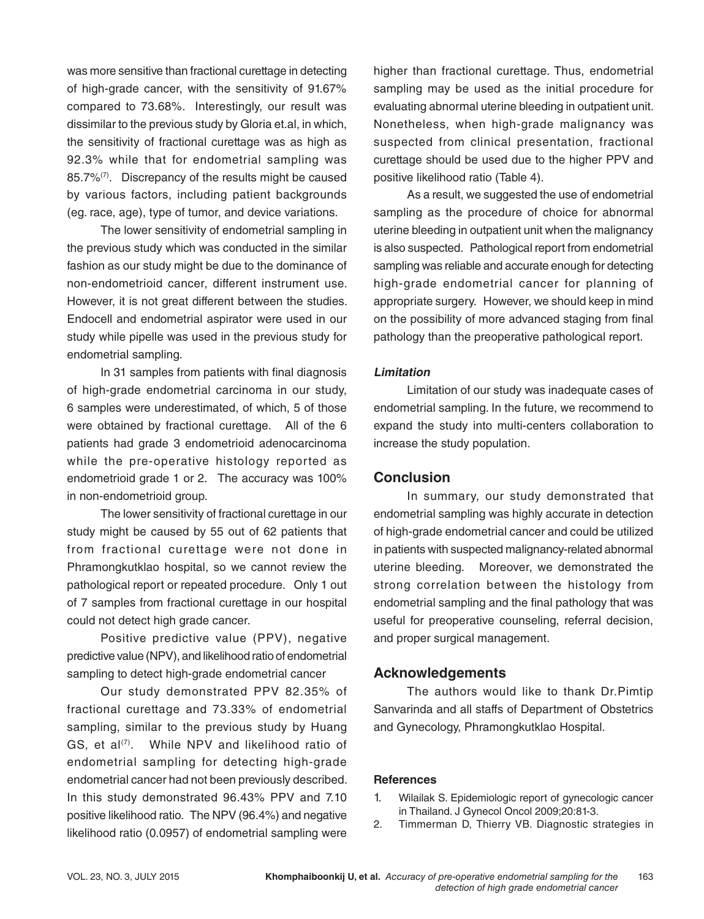was more sensitive than fractional curettage in detecting of high-grade cancer, with the sensitivity of 91.67% compared to 73.68%. Interestingly, our result was dissimilar to the previous study by Gloria et.al, in which, the sensitivity of fractional curettage was as high as 92.3% while that for endometrial sampling was 85.7%<sup>(7)</sup>. Discrepancy of the results might be caused by various factors, including patient backgrounds (eg. race, age), type of tumor, and device variations.

The lower sensitivity of endometrial sampling in the previous study which was conducted in the similar fashion as our study might be due to the dominance of non-endometrioid cancer, different instrument use. However, it is not great different between the studies. Endocell and endometrial aspirator were used in our study while pipelle was used in the previous study for endometrial sampling.

In 31 samples from patients with final diagnosis of high-grade endometrial carcinoma in our study, 6 samples were underestimated, of which, 5 of those were obtained by fractional curettage. All of the 6 patients had grade 3 endometrioid adenocarcinoma while the pre-operative histology reported as endometrioid grade 1 or 2. The accuracy was 100% in non-endometrioid group.

The lower sensitivity of fractional curettage in our study might be caused by 55 out of 62 patients that from fractional curettage were not done in Phramongkutklao hospital, so we cannot review the pathological report or repeated procedure. Only 1 out of 7 samples from fractional curettage in our hospital could not detect high grade cancer.

Positive predictive value (PPV), negative predictive value (NPV), and likelihood ratio of endometrial sampling to detect high-grade endometrial cancer

Our study demonstrated PPV 82.35% of fractional curettage and 73.33% of endometrial sampling, similar to the previous study by Huang GS, et al $(7)$ . While NPV and likelihood ratio of endometrial sampling for detecting high-grade endometrial cancer had not been previously described. In this study demonstrated 96.43% PPV and 7.10 positive likelihood ratio. The NPV (96.4%) and negative likelihood ratio (0.0957) of endometrial sampling were

higher than fractional curettage. Thus, endometrial sampling may be used as the initial procedure for evaluating abnormal uterine bleeding in outpatient unit. Nonetheless, when high-grade malignancy was suspected from clinical presentation, fractional curettage should be used due to the higher PPV and positive likelihood ratio (Table 4).

As a result, we suggested the use of endometrial sampling as the procedure of choice for abnormal uterine bleeding in outpatient unit when the malignancy is also suspected. Pathological report from endometrial sampling was reliable and accurate enough for detecting high-grade endometrial cancer for planning of appropriate surgery. However, we should keep in mind on the possibility of more advanced staging from final pathology than the preoperative pathological report.

### **Limitation**

 Limitation of our study was inadequate cases of endometrial sampling. In the future, we recommend to expand the study into multi-centers collaboration to increase the study population.

# **Conclusion**

In summary, our study demonstrated that endometrial sampling was highly accurate in detection of high-grade endometrial cancer and could be utilized in patients with suspected malignancy-related abnormal uterine bleeding. Moreover, we demonstrated the strong correlation between the histology from endometrial sampling and the final pathology that was useful for preoperative counseling, referral decision, and proper surgical management.

# **Acknowledgements**

The authors would like to thank Dr.Pimtip Sanvarinda and all staffs of Department of Obstetrics and Gynecology, Phramongkutklao Hospital.

#### **References**

- 1. Wilailak S. Epidemiologic report of gynecologic cancer in Thailand. J Gynecol Oncol 2009;20:81-3.
- 2. Timmerman D, Thierry VB. Diagnostic strategies in